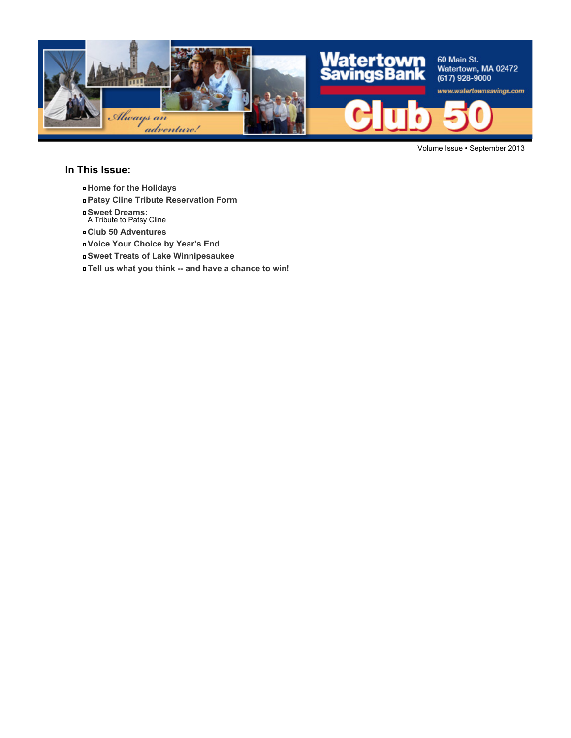

Volume Issue • September 2013

#### **In This Issue:**

- **Home for the Holidays**
- **Patsy Cline Tribute Reservation Form**
- **Sweet Dreams:** A Tribute to Patsy Cline
- **Club 50 Adventures**
- **Voice Your Choice by Year's End**
- **Sweet Treats of Lake Winnipesaukee**
- **Tell us what you think -- and have a chance to win!**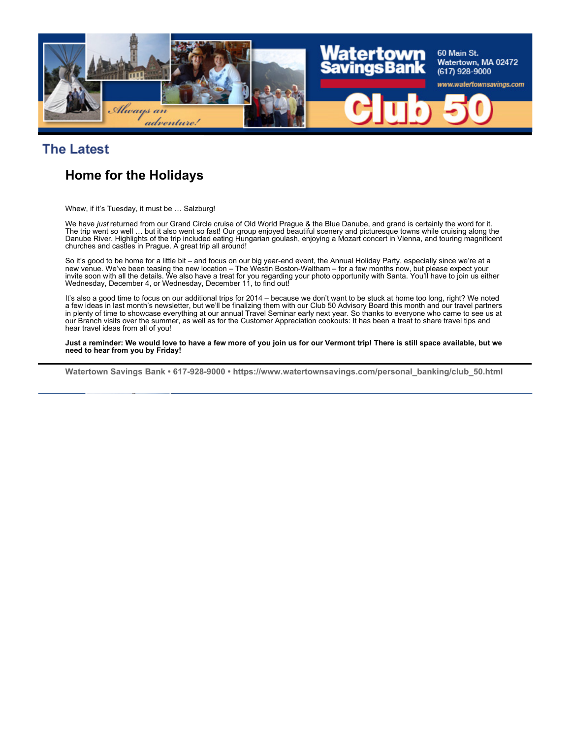

### **The Latest**

# **Home for the Holidays**

Whew, if it's Tuesday, it must be … Salzburg!

We have *just* returned from our Grand Circle cruise of Old World Prague & the Blue Danube, and grand is certainly the word for it. The trip went so well … but it also went so fast! Our group enjoyed beautiful scenery and picturesque towns while cruising along the Danube River. Highlights of the trip included eating Hungarian goulash, enjoying a Mozart concert in Vienna, and touring magnificent churches and castles in Prague. A great trip all around!

So it's good to be home for a little bit – and focus on our big year-end event, the Annual Holiday Party, especially since we're at a new venue. We've been teasing the new location – The Westin Boston-Waltham – for a few months now, but please expect your invite soon with all the details. We also have a treat for you regarding your photo opportunity with Santa. You'll have to join us either Wednesday, December 4, or Wednesday, December 11, to find out!

It's also a good time to focus on our additional trips for 2014 – because we don't want to be stuck at home too long, right? We noted a few ideas in last month's newsletter, but we'll be finalizing them with our Club 50 Advisory Board this month and our travel partners in plenty of time to showcase everything at our annual Travel Seminar early next year. So thanks to everyone who came to see us at our Branch visits over the summer, as well as for the Customer Appreciation cookouts: It has been a treat to share travel tips and hear travel ideas from all of you!

**Just a reminder: We would love to have a few more of you join us for our Vermont trip! There is still space available, but we need to hear from you by Friday!**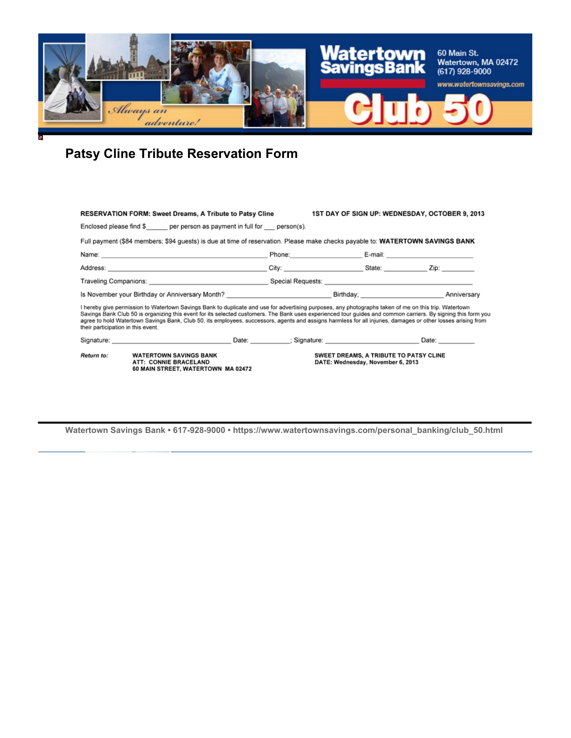

# **Patsy Cline Tribute Reservation Form**

| RESERVATION FORM: Sweet Dreams, A Tribute to Patsy Cline                                                       |                                                                                                                                                                                                                                                                                                                                                                                                                                                                                        |  |  | 1ST DAY OF SIGN UP: WEDNESDAY, OCTOBER 9, 2013 |                                                                                                                                                                                                                                |  |
|----------------------------------------------------------------------------------------------------------------|----------------------------------------------------------------------------------------------------------------------------------------------------------------------------------------------------------------------------------------------------------------------------------------------------------------------------------------------------------------------------------------------------------------------------------------------------------------------------------------|--|--|------------------------------------------------|--------------------------------------------------------------------------------------------------------------------------------------------------------------------------------------------------------------------------------|--|
|                                                                                                                | Enclosed please find $\S$ per person as payment in full for person(s).                                                                                                                                                                                                                                                                                                                                                                                                                 |  |  |                                                |                                                                                                                                                                                                                                |  |
|                                                                                                                | Full payment (\$84 members; \$94 quests) is due at time of reservation. Please make checks payable to: WATERTOWN SAVINGS BANK                                                                                                                                                                                                                                                                                                                                                          |  |  |                                                |                                                                                                                                                                                                                                |  |
| Name: 2008. 2009. 2009. 2009. 2012. 2013. 2014. 2014. 2014. 2014. 2014. 2014. 2014. 2014. 2014. 2014. 2014. 20 |                                                                                                                                                                                                                                                                                                                                                                                                                                                                                        |  |  |                                                | Phone: E-mail: E-mail: E-mail: E-mail: E-mail: E-mail: E-mail: E-mail: E-mail: E-mail: E-mail: E-mail: E-mail: E-mail: E-mail: E-mail: E-mail: E-mail: E-mail: E-mail: E-mail: E-mail: E-mail: E-mail: E-mail: E-mail: E-mail: |  |
|                                                                                                                |                                                                                                                                                                                                                                                                                                                                                                                                                                                                                        |  |  |                                                |                                                                                                                                                                                                                                |  |
|                                                                                                                |                                                                                                                                                                                                                                                                                                                                                                                                                                                                                        |  |  |                                                |                                                                                                                                                                                                                                |  |
|                                                                                                                |                                                                                                                                                                                                                                                                                                                                                                                                                                                                                        |  |  |                                                |                                                                                                                                                                                                                                |  |
| their participation in this event.                                                                             | I hereby give permission to Watertown Savings Bank to duplicate and use for advertising purposes, any photographs taken of me on this trip. Watertown<br>Savings Bank Club 50 is organizing this event for its selected customers. The Bank uses experienced tour guides and common carriers. By signing this form you<br>agree to hold Watertown Savings Bank, Club 50, its employees, successors, agents and assigns harmless for all injuries, damages or other losses arising from |  |  |                                                |                                                                                                                                                                                                                                |  |
|                                                                                                                | Signature: Date: Date: Date: Signature: Signature: Date: Date: Date: Date: Date: Date: Date: Date: Date: Date: Date: Date: Date: Date: Date: Date: Date: Date: Date: Date: Date: Date: Date: Date: Date: Date: Date: Date: Dat                                                                                                                                                                                                                                                         |  |  |                                                |                                                                                                                                                                                                                                |  |
| Return to:                                                                                                     | <b>WATERTOWN SAVINGS BANK</b><br>SWEET DREAMS, A TRIBUTE TO PATSY CLINE<br>ATT: CONNIE BRACELAND<br>DATE: Wednesday, November 6, 2013<br>60 MAIN STREET, WATERTOWN MA 02472                                                                                                                                                                                                                                                                                                            |  |  |                                                |                                                                                                                                                                                                                                |  |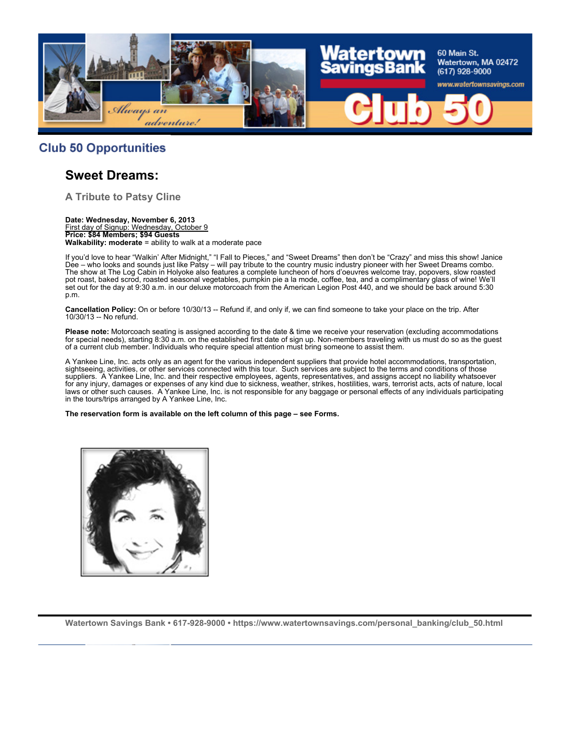

#### **Club 50 Opportunities**

#### **Sweet Dreams:**

**A Tribute to Patsy Cline**

**Date: Wednesday, November 6, 2013** First day of Signup: Wednesday, October 9 **Price: \$84 Members; \$94 Guests Walkability: moderate** = ability to walk at a moderate pace

If you'd love to hear "Walkin' After Midnight," "I Fall to Pieces," and "Sweet Dreams" then don't be "Crazy" and miss this show! Janice Dee – who looks and sounds just like Patsy – will pay tribute to the country music industry pioneer with her Sweet Dreams combo. The show at The Log Cabin in Holyoke also features a complete luncheon of hors d'oeuvres welcome tray, popovers, slow roasted pot roast, baked scrod, roasted seasonal vegetables, pumpkin pie a la mode, coffee, tea, and a complimentary glass of wine! We'll set out for the day at 9:30 a.m. in our deluxe motorcoach from the American Legion Post 440, and we should be back around 5:30 p.m.

**Cancellation Policy:** On or before 10/30/13 -- Refund if, and only if, we can find someone to take your place on the trip. After 10/30/13 -- No refund.

**Please note:** Motorcoach seating is assigned according to the date & time we receive your reservation (excluding accommodations for special needs), starting 8:30 a.m. on the established first date of sign up. Non-members traveling with us must do so as the guest of a current club member. Individuals who require special attention must bring someone to assist them.

A Yankee Line, Inc. acts only as an agent for the various independent suppliers that provide hotel accommodations, transportation, sightseeing, activities, or other services connected with this tour. Such services are subject to the terms and conditions of those suppliers. A Yankee Line, Inc. and their respective employees, agents, representatives, and assigns accept no liability whatsoever for any injury, damages or expenses of any kind due to sickness, weather, strikes, hostilities, wars, terrorist acts, acts of nature, local laws or other such causes. A Yankee Line, Inc. is not responsible for any baggage or personal effects of any individuals participating in the tours/trips arranged by A Yankee Line, Inc.

**The reservation form is available on the left column of this page – see Forms.**

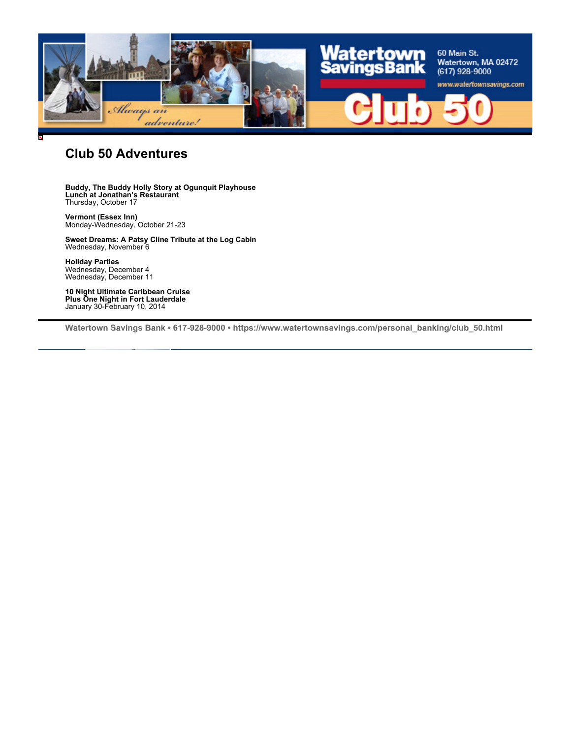

### **Club 50 Adventures**

**Buddy, The Buddy Holly Story at Ogunquit Playhouse Lunch at Jonathan's Restaurant** Thursday, October 17

**Vermont (Essex Inn)** Monday-Wednesday, October 21-23

**Sweet Dreams: A Patsy Cline Tribute at the Log Cabin** Wednesday, November 6

**Holiday Parties** Wednesday, December 4 Wednesday, December 11

**10 Night Ultimate Caribbean Cruise Plus One Night in Fort Lauderdale** January 30-February 10, 2014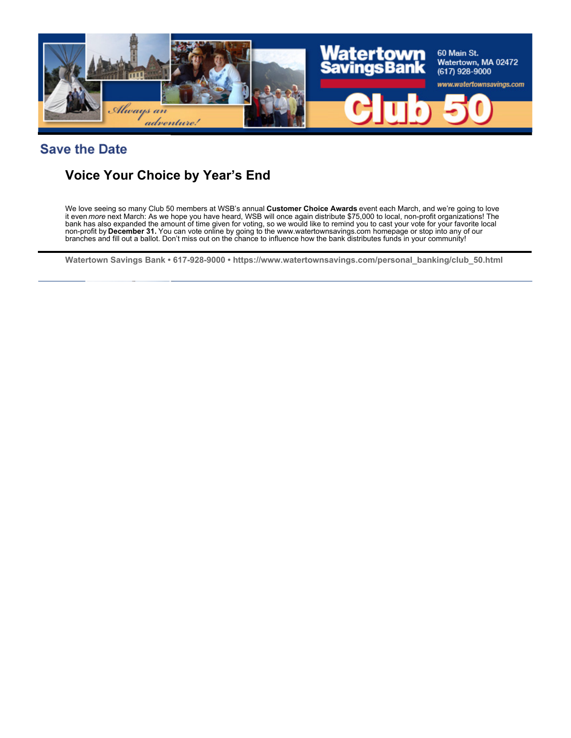

#### **Save the Date**

## **Voice Your Choice by Year's End**

We love seeing so many Club 50 members at WSB's annual **Customer Choice Awards** event each March, and we're going to love<br>it even *more* next March: As we hope you have heard, WSB will once again distribute \$75,000 to loca bank has also expanded the amount of time given for voting, so we would like to remind you to cast your vote for your favorite local non-profit by **December 31.** You can vote online by going to the www.watertownsavings.com homepage or stop into any of our branches and fill out a ballot. Don't miss out on the chance to influence how the bank distributes funds in your community!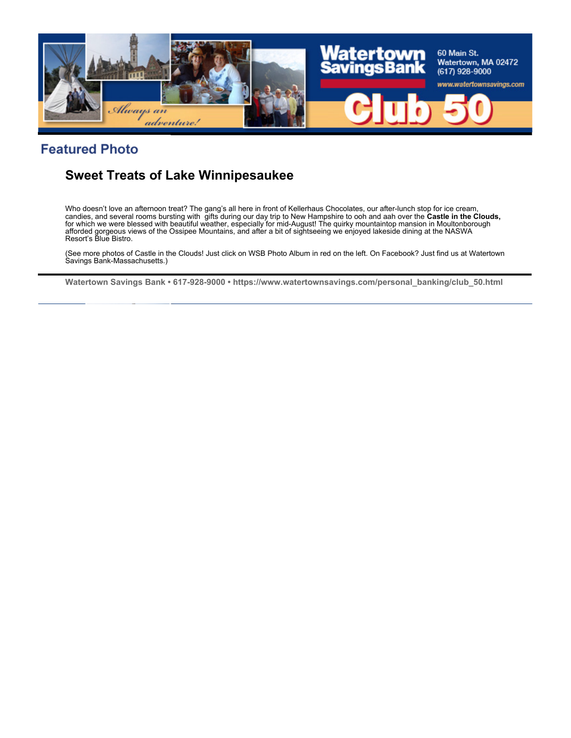

### **Featured Photo**

## **Sweet Treats of Lake Winnipesaukee**

Who doesn't love an afternoon treat? The gang's all here in front of Kellerhaus Chocolates, our after-lunch stop for ice cream, candies, and several rooms bursting with gifts during our day trip to New Hampshire to ooh and aah over the **Castle in the Clouds,** for which we were blessed with beautiful weather, especially for mid-August! The quirky mountaintop mansion in Moultonborough afforded gorgeous views of the Ossipee Mountains, and after a bit of sightseeing we enjoyed lakeside dining at the NASWA Resort's Blue Bistro.

(See more photos of Castle in the Clouds! Just click on WSB Photo Album in red on the left. On Facebook? Just find us at Watertown Savings Bank-Massachusetts.)